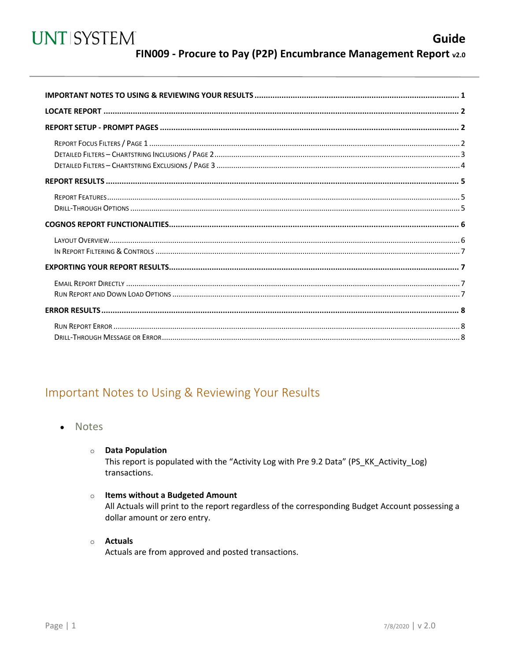<span id="page-0-0"></span>

### Important Notes to Using & Reviewing Your Results

Notes  $\bullet$ 

#### **O** Data Population

This report is populated with the "Activity Log with Pre 9.2 Data" (PS\_KK\_Activity\_Log) transactions.

#### o Items without a Budgeted Amount

All Actuals will print to the report regardless of the corresponding Budget Account possessing a dollar amount or zero entry.

#### o Actuals

Actuals are from approved and posted transactions.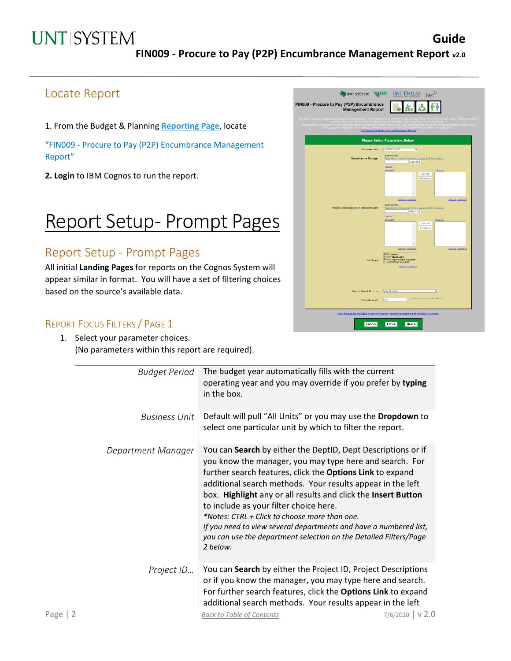## **UNT SYSTEM**

## Locate Report

1. From the Budget & Planning **[Reporting Page](https://finance.untsystem.edu/reporting)**, locate

"FIN009 - Procure to Pay (P2P) Encumbrance Management Report"

**2. Login** to IBM Cognos to run the report.

## Report Setup- Prompt Pages

### Report Setup - Prompt Pages

All initial **Landing Pages** for reports on the Cognos System will appear similar in format. You will have a set of filtering choices based on the source's available data.

#### REPORT FOCUS FILTERS / PAGE 1

1. Select your parameter choices. (No parameters within this report are required).

|          | <b>Budget Period</b> | The budget year automatically fills with the current<br>operating year and you may override if you prefer by typing<br>in the box.                                                                                                                                                                                                                                                                                                                                                                                                                                   |                  |
|----------|----------------------|----------------------------------------------------------------------------------------------------------------------------------------------------------------------------------------------------------------------------------------------------------------------------------------------------------------------------------------------------------------------------------------------------------------------------------------------------------------------------------------------------------------------------------------------------------------------|------------------|
|          | <b>Business Unit</b> | Default will pull "All Units" or you may use the Dropdown to<br>select one particular unit by which to filter the report.                                                                                                                                                                                                                                                                                                                                                                                                                                            |                  |
|          | Department Manager   | You can Search by either the DeptID, Dept Descriptions or if<br>you know the manager, you may type here and search. For<br>further search features, click the Options Link to expand<br>additional search methods. Your results appear in the left<br>box. Highlight any or all results and click the Insert Button<br>to include as your filter choice here.<br>*Notes: CTRL + Click to choose more than one.<br>If you need to view several departments and have a numbered list,<br>you can use the department selection on the Detailed Filters/Page<br>2 below. |                  |
|          | Project ID           | You can Search by either the Project ID, Project Descriptions<br>or if you know the manager, you may type here and search.<br>For further search features, click the Options Link to expand<br>additional search methods. Your results appear in the left                                                                                                                                                                                                                                                                                                            |                  |
| Page   2 |                      | <b>Back to Table of Contents</b>                                                                                                                                                                                                                                                                                                                                                                                                                                                                                                                                     | 7/8/2020   V 2.0 |

| UNT SYSTEM WINT<br>FIN009 - Procure to Pay (P2P) Encumbrance<br><b>Management Report</b>                                                                                                                                                             | <b>UNT DALLAS</b>                                                                                                                                                                                                                                                                                                                              |
|------------------------------------------------------------------------------------------------------------------------------------------------------------------------------------------------------------------------------------------------------|------------------------------------------------------------------------------------------------------------------------------------------------------------------------------------------------------------------------------------------------------------------------------------------------------------------------------------------------|
| This report reflects Budget and Encumbrance information from Commitmen<br>(EIS). This is the official report for the University<br><sup>4</sup> Please make note that if you are using this report to view Sponsored Pro-<br>ave questions regarding | ment Control, as well as the actuals from the General Ledger within PeopleSoft<br>rersity of North Texas System and its components.<br>Project Data, It is recommended to use the Project Summary Report. If you<br>nsult your local Sp<br>Click here the launch Project Summary Report                                                        |
|                                                                                                                                                                                                                                                      | <b>Please Select Parameters Below:</b>                                                                                                                                                                                                                                                                                                         |
| <b>Business Unit</b>                                                                                                                                                                                                                                 | p BUSINESS UNIT<br>$\overline{\mathsf{v}}$                                                                                                                                                                                                                                                                                                     |
| Department or Manager                                                                                                                                                                                                                                | <b>Keywords:</b><br>Type one or more keywords separated by spaces.<br>Search <sup>2</sup>                                                                                                                                                                                                                                                      |
| Project ID/Description or Manager Name                                                                                                                                                                                                               | Others <sup>3</sup><br><b>Results:</b><br><b>Choice:</b><br>Insert*<br>$\Delta$<br>*Remove<br>Select all Deselect all<br>Select all pesciert all<br><b>Keywords:</b><br>Type one or more keywords separated by spaces.<br>Search <sup>12</sup><br>Octobers <sup>3</sup><br><b>Results:</b><br><b>Choice:</b><br>Insert*<br>$\Delta$<br>*Remove |
| <b>KK Group</b><br><b>Report Result Options</b>                                                                                                                                                                                                      | Sciential Descrict all<br>Sciential Deselottal<br>▽ Budgetary<br>▽ Non-Budgetary<br>▽ Non-Sponsored Projects<br>▽ Sponsored Projects<br>Select all Deselect all<br>Show All Records<br>▽                                                                                                                                                       |
| <b>Budget Period</b>                                                                                                                                                                                                                                 | (Does not impact Projects)<br>2020                                                                                                                                                                                                                                                                                                             |
| Cancel                                                                                                                                                                                                                                               | Click here to be included in communication regarding reporting of Finance in Cognos.<br>Finish<br>Next                                                                                                                                                                                                                                         |

**Guide**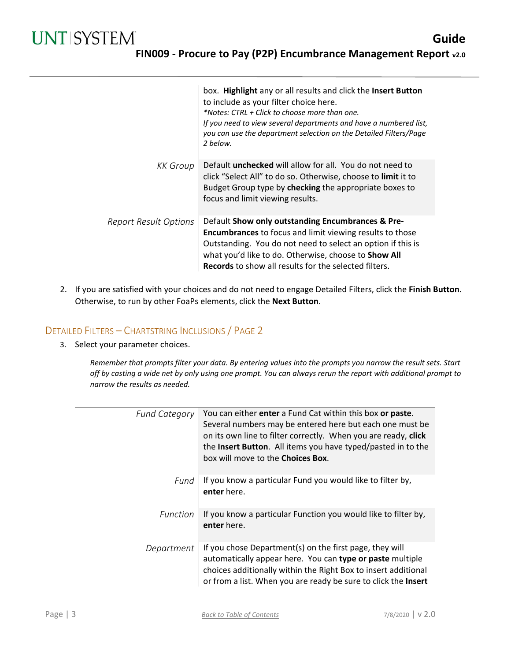|                              | box. Highlight any or all results and click the Insert Button<br>to include as your filter choice here.<br>*Notes: CTRL + Click to choose more than one.<br>If you need to view several departments and have a numbered list,<br>you can use the department selection on the Detailed Filters/Page<br>2 helow. |
|------------------------------|----------------------------------------------------------------------------------------------------------------------------------------------------------------------------------------------------------------------------------------------------------------------------------------------------------------|
| <b>KK</b> Group              | Default <b>unchecked</b> will allow for all. You do not need to<br>click "Select All" to do so. Otherwise, choose to limit it to<br>Budget Group type by checking the appropriate boxes to<br>focus and limit viewing results.                                                                                 |
| <b>Report Result Options</b> | Default Show only outstanding Encumbrances & Pre-<br><b>Encumbrances</b> to focus and limit viewing results to those<br>Outstanding. You do not need to select an option if this is<br>what you'd like to do. Otherwise, choose to Show All<br><b>Records</b> to show all results for the selected filters.    |

2. If you are satisfied with your choices and do not need to engage Detailed Filters, click the **Finish Button**. Otherwise, to run by other FoaPs elements, click the **Next Button**.

#### DETAILED FILTERS – CHARTSTRING INCLUSIONS / PAGE 2

3. Select your parameter choices.

*Remember that prompts filter your data. By entering values into the prompts you narrow the result sets. Start off by casting a wide net by only using one prompt. You can always rerun the report with additional prompt to narrow the results as needed.*

| <b>Fund Category</b> | You can either enter a Fund Cat within this box or paste.<br>Several numbers may be entered here but each one must be<br>on its own line to filter correctly. When you are ready, click<br>the Insert Button. All items you have typed/pasted in to the<br>box will move to the <b>Choices Box</b> . |
|----------------------|------------------------------------------------------------------------------------------------------------------------------------------------------------------------------------------------------------------------------------------------------------------------------------------------------|
| Fund                 | If you know a particular Fund you would like to filter by,<br>enter here.                                                                                                                                                                                                                            |
| <b>Function</b>      | If you know a particular Function you would like to filter by,<br>enter here.                                                                                                                                                                                                                        |
| Department           | If you chose Department(s) on the first page, they will<br>automatically appear here. You can type or paste multiple<br>choices additionally within the Right Box to insert additional<br>or from a list. When you are ready be sure to click the Insert                                             |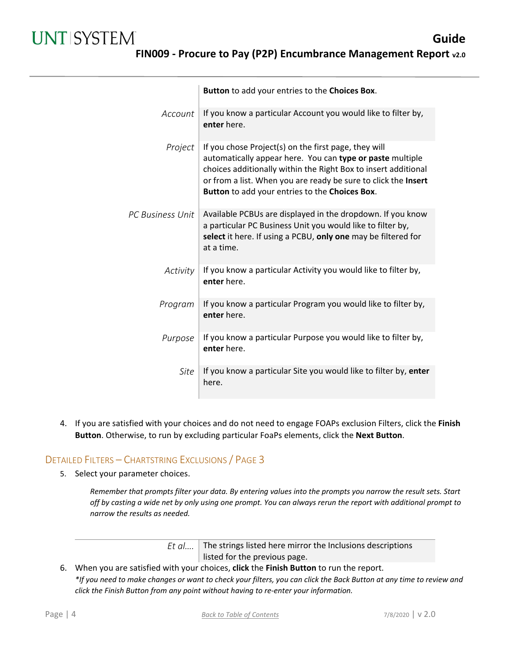|                         | Button to add your entries to the Choices Box.                                                                                                                                                                                                                                                          |
|-------------------------|---------------------------------------------------------------------------------------------------------------------------------------------------------------------------------------------------------------------------------------------------------------------------------------------------------|
| Account                 | If you know a particular Account you would like to filter by,<br>enter here.                                                                                                                                                                                                                            |
| Project                 | If you chose Project(s) on the first page, they will<br>automatically appear here. You can type or paste multiple<br>choices additionally within the Right Box to insert additional<br>or from a list. When you are ready be sure to click the Insert<br>Button to add your entries to the Choices Box. |
| <b>PC Business Unit</b> | Available PCBUs are displayed in the dropdown. If you know<br>a particular PC Business Unit you would like to filter by,<br>select it here. If using a PCBU, only one may be filtered for<br>at a time.                                                                                                 |
| Activity                | If you know a particular Activity you would like to filter by,<br>enter here.                                                                                                                                                                                                                           |
| Program                 | If you know a particular Program you would like to filter by,<br>enter here.                                                                                                                                                                                                                            |
| Purpose                 | If you know a particular Purpose you would like to filter by,<br>enter here.                                                                                                                                                                                                                            |
| Site                    | If you know a particular Site you would like to filter by, enter<br>here.                                                                                                                                                                                                                               |

4. If you are satisfied with your choices and do not need to engage FOAPs exclusion Filters, click the **Finish Button**. Otherwise, to run by excluding particular FoaPs elements, click the **Next Button**.

#### DETAILED FILTERS – CHARTSTRING EXCLUSIONS / PAGE 3

5. Select your parameter choices.

*Remember that prompts filter your data. By entering values into the prompts you narrow the result sets. Start off by casting a wide net by only using one prompt. You can always rerun the report with additional prompt to narrow the results as needed.*

> *Et al....* The strings listed here mirror the Inclusions descriptions listed for the previous page.

6. When you are satisfied with your choices, **click** the **Finish Button** to run the report. *\*If you need to make changes or want to check your filters, you can click the Back Button at any time to review and click the Finish Button from any point without having to re-enter your information.*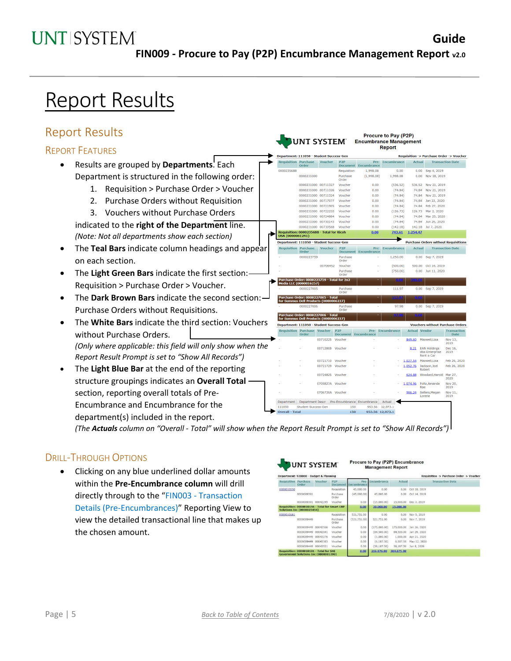## **UNT SYSTEM**

**UNT SYSTEM®** 

P<sub>2P</sub>

Requisition

Purchase<br>Order

Voucher

Voucher

Voucher

Vouche

Voucher

Voucher

Voucher

Vouche

Purchase<br>Order

Purchase<br>Order

al for  $2x2$ 

227).

Department: 111050 - Student Success-Ger

Requisition Purchase Voucher<br>Order

0000231000

0000231000 00711327

0000231000 00711326

0000231000 00711324

0000231000 00717077

0000231000 00721905

0000231000 00722210

0000231000 00724884

0000231000 0073056

epartment: 111050 - Student Success-Ge

Purcha<br>Order

0000223759

er: 0000223<br>00016257)

Student Success-Ger

 $\cdots$ 

0000231000 00730143 Voucher

i: 0000235688 - Total for Ricoh<br>061241)

00706452 Voucher **Guide**

Requisition -> Purchase Order -> Vouche Actual Transaction Date

0.00 Sep 4, 2019

536.52 Nov 21, 2019

74.84 Nov 21, 2019

74.84 Feb 27, 2020

74.84 Mar 25, 2020

74.84 Jun 26, 2020

0.00 Sep 7, 2019

500.00 Oct 16, 2019

 $0.00$  Jun 11, 2020

Sep 7, 2019

**Purchase Orders without Requisitions** 

**Transaction Date** 

142.18 Jul 7, 2020

126.73 Mar 2 2020

74.84 Nov 21, 2019

74.84 Jan 22, 2020

1,254.47

Actual

 $0.00$  Nov 18, 2019

Procure to Pay (P2P)

Encumbrance Management **Report** 

1,998.08

 $(1,998.08)$ 

 $0.00$ 

 $0.00$ 

 $0.00$ 

 $0.00$ 

 $0.00$ 

 $0.00$ 

 $_{0.00}$ 

 $0.00$ 

 $0.00$ 

 $0.00$ 

Encumbrance

 $0.00$ 

1.998.08

 $(536.52)$ 

 $(74.84)$ 

 $(74.84)$ 

 $(74.84)$ 

 $(74.84)$ 

 $(126.73)$ 

 $(74.84)$ 

 $(74.84)$ 

 $(142.18)$ 

743.61 ×

Encumbrano

1,250.00

 $(500, 00)$ 

 $(750.00)$ 

111.9

## Report Results

### Report Results

#### REPORT FEATURES

- Results are grouped by **Departments**. Each Department is structured in the following order:
	- 1. Requisition > Purchase Order > Voucher
	- 2. Purchase Orders without Requisition

3. Vouchers without Purchase Orders indicated to the **right of the Department** line. *(Note: Not all departments show each section)*

- The **Teal Bars** indicate column headings and appear on each section.
- The **Light Green Bars** indicate the first section: Requisition > Purchase Order > Voucher.
- The **Dark Brown Bars** indicate the second section: Purchase Orders without Requisitions.
- The **White Bars** indicate the third se without Purchase Orders. *(Only where applicable: this field will only where applicable: this field will only Report Result Prompt is set to "Show A*
- The **Light Blue Bar** at the end of the structure groupings indicates an Ov section, reporting overall totals of P Encumbrance and Encumbrance for the department(s) included in the report.

| .                                 | Purchase Order: 0000227006 - Total<br>for Summus Dell Products (0000006227) |        |                  |                        |                                              | 37.33           | 10400    |                                                     |                              |
|-----------------------------------|-----------------------------------------------------------------------------|--------|------------------|------------------------|----------------------------------------------|-----------------|----------|-----------------------------------------------------|------------------------------|
| ection: Vouchers                  | Department: 111050 - Student Success-Gen                                    |        |                  |                        |                                              |                 |          | <b>Vouchers without Purchase</b>                    |                              |
|                                   | <b>Requisition Purchase Voucher</b>                                         | Order  |                  | P2P<br><b>Document</b> | Encumbrance                                  | Pre-Encumbrance |          | <b>Actual Vendor</b>                                | <b>Trans</b><br>$\mathbf{D}$ |
|                                   |                                                                             |        | 00710225         | Voucher                |                                              |                 | 849.60   | Maxwell.Lisa                                        | Nov <sub>1</sub><br>2019     |
| nly show when the<br>ll Records") |                                                                             |        | 00712808         | Voucher                |                                              |                 | 8.21     | <b>EAN Holdings</b><br>dba Enterprise<br>Rent a Car | Dec 1<br>2019                |
|                                   |                                                                             | $\sim$ | 00721710         | Voucher                |                                              |                 | 1,027.54 | Maxwell.Lisa                                        | Feb 26                       |
| e reporting                       |                                                                             |        | 00721729         | Voucher                |                                              |                 | 1.052.76 | Jackson, Joel<br><b>Robert</b>                      | Feb 2                        |
| erall Total/                      |                                                                             |        | 00724825         | Voucher                |                                              |                 | 624.88   | Woodard, Harold                                     | Mar 2<br>2020                |
|                                   |                                                                             |        | 0705827A Voucher |                        |                                              |                 | 1.074.96 | Foltz, Amanda<br>Rae                                | Nov <sub>2</sub><br>2019     |
| Pre-                              |                                                                             |        | 0706730A         | Voucher                |                                              |                 | 906.24   | Sellers, Megan<br>Lorene                            | Nov <sub>1</sub><br>2019     |
|                                   | <b>Department</b>                                                           |        |                  |                        | Department Descr Pre-Encumbrance Encumbrance | Actual          |          |                                                     |                              |

*(The Actuals column on "Overall - Total" will show when the Report Result Prompt is set to "Show All Records")*

111050

#### DRILL-THROUGH OPTIONS

• Clicking on any blue underlined dollar amounts within the **Pre-Encumbrance column** will drill directly through to the "FIN003 - Transaction Details (Pre-Encumbrances)" Reporting View to view the detailed transactional line that makes up the chosen amount.

|                             | UNI SISIEM<br>Department: 928000 - Budget & Planning                               |          |                                          |                     | <b>Management Report</b> |            |              | Requisition -> Purchase Order -> Voucher |
|-----------------------------|------------------------------------------------------------------------------------|----------|------------------------------------------|---------------------|--------------------------|------------|--------------|------------------------------------------|
| <b>Requisition Purchase</b> | Order                                                                              | Voucher  | <b>P<sub>2</sub>p</b><br><b>Document</b> | Pre-<br>Encumbrance | <b>Encumbrance</b>       | Actual     |              | <b>Transaction Date</b>                  |
| 0000010156                  |                                                                                    |          | Requisition                              | 45,000.00           | 0.00                     | 0.00       | Oct 10, 2019 |                                          |
|                             | 0000009391                                                                         |          | Purchase<br>Order                        | (45,000.00)         | 45.000.00                | 0.00       | Oct 14, 2019 |                                          |
|                             | 0000009391 00042245                                                                |          | Voucher                                  | 0.00                | (15,000,00)              | 15,000.00  | Dec 3, 2019  |                                          |
|                             | Requisition: 0000010156 - Total for Smart ERP<br><b>Solutions Inc (0000023454)</b> |          |                                          | 0.00                | 30,000.00                | 15,000.00  |              |                                          |
| 0000010181                  |                                                                                    |          | Requisition                              | 521,751.00          | 0.00                     | 0.00       | Nov 5, 2019  |                                          |
|                             | 0000009449                                                                         |          | Purchase<br>Order                        | (521.751.00)        | 521,751.00               | 0.00       | Nov 7, 2019  |                                          |
|                             | 0000009449                                                                         | 00042566 | Voucher                                  | 0.00                | (175.000.00)             | 175,000.00 | Jan 16, 2020 |                                          |
|                             | 0000009449 00042691                                                                |          | Voucher                                  | 0.00                | (84,500.00)              | 84,500.00  | Jan 29, 2020 |                                          |
|                             | 0000009449 00043276                                                                |          | Voucher                                  | 0.00                | (1,000.00)               | 1,000.00   | Apr 21, 2020 |                                          |
|                             | 0000009449 00043383                                                                |          | Voucher                                  | 0.00                | (6.187.50)               | 6,187.50   | May 12, 2020 |                                          |
|                             | 0000009449 00043521                                                                |          | Voucher                                  | 0.00                | (38.187.50)              | 38,187.50  | Jun 8, 2020  |                                          |
|                             | Requisition: 0000010181 - Total for SHI<br>Government Solutions Inc (0000001390)   |          |                                          | 0.00                | 216,876.00               | 304,875.00 |              |                                          |

Procure to Pay (P2P) Encumbrance

953.56 12,973.1 953.56 12,973.1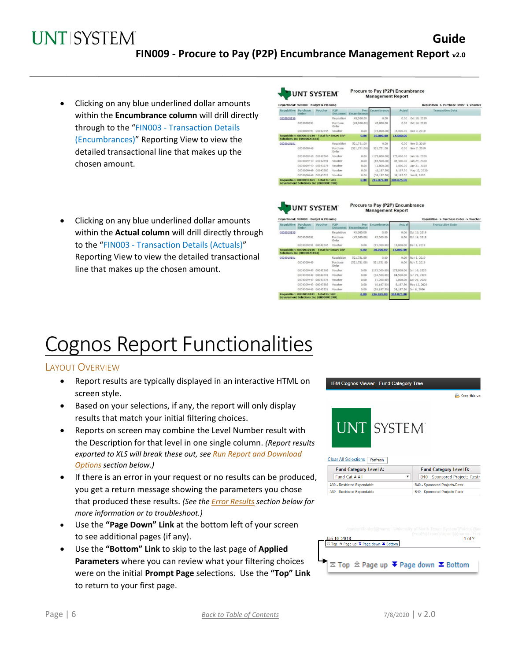**UNTISYSTEM Guide FIN009 - Procure to Pay (P2P) Encumbrance Management Report v2.0**

- Clicking on any blue underlined dollar amounts within the **Encumbrance column** will drill directly through to the "FIN003 - Transaction Details (Encumbrances)" Reporting View to view the detailed transactional line that makes up the chosen amount.
- Clicking on any blue underlined dollar amounts within the **Actual column** will drill directly through to the "FIN003 - Transaction Details (Actuals)" Reporting View to view the detailed transactional line that makes up the chosen amount.

|                                      |          |                                                                                                                         |                                                                                                                                    |                             |               |              | Requisition -> Purchase Order -> Voucher |
|--------------------------------------|----------|-------------------------------------------------------------------------------------------------------------------------|------------------------------------------------------------------------------------------------------------------------------------|-----------------------------|---------------|--------------|------------------------------------------|
| <b>Requisition Purchase</b><br>Order | Voucher  | <b>P<sub>2</sub>p</b>                                                                                                   | <b>Pre-</b>                                                                                                                        | Encumbrance                 | <b>Actual</b> |              | <b>Transaction Date</b>                  |
|                                      |          | Requisition                                                                                                             | 45,000,00                                                                                                                          | 0.00                        | 0.00          | Oct 10, 2019 |                                          |
| 0000009391                           |          | Purchase<br>Order                                                                                                       | (45,000,00)                                                                                                                        | 45.000.00                   | 0.00          | Oct 14, 2019 |                                          |
|                                      |          | Voucher                                                                                                                 | 0.00                                                                                                                               | (15,000.00)                 | 15,000.00     | Dec 3, 2019  |                                          |
|                                      |          |                                                                                                                         | 0.00                                                                                                                               | 30,000.00                   | 15,000.00     |              |                                          |
|                                      |          | Requisition                                                                                                             | 521,751.00                                                                                                                         | 0.00                        | 0.00          | Nov 5, 2019  |                                          |
| 0000009449                           |          | Purchase<br>Order                                                                                                       | (521, 751, 00)                                                                                                                     | 521,751.00                  | 0.00          | Nov 7, 2019  |                                          |
|                                      | 00042566 | Voucher                                                                                                                 | 0.00                                                                                                                               | (175,000,00)                | 175,000.00    | Jan 16, 2020 |                                          |
| 0000009449                           | 00042691 | Voucher                                                                                                                 | 0.00                                                                                                                               | (84,500.00)                 | 84,500.00     | Jan 29, 2020 |                                          |
| 0000009449                           | 00043276 | Voucher                                                                                                                 | 0.00                                                                                                                               | (1,000.00)                  | 1,000.00      | Apr 21, 2020 |                                          |
|                                      |          | Voucher                                                                                                                 | 0.00                                                                                                                               | (6, 187, 50)                | 6,187.50      | May 12, 2020 |                                          |
|                                      |          | Voucher                                                                                                                 | 0.00                                                                                                                               | (38, 187, 50)               | 38,187.50     | Jun 8, 2020  |                                          |
|                                      |          |                                                                                                                         | 0.00                                                                                                                               | 216,876.00                  | 304,875.00    |              |                                          |
|                                      |          | 0000009391 00042245<br><b>Solutions Inc (0000023454)</b><br>0000009449<br>0000009449<br>00043383<br>0000009449 00043521 | Department: 928000 - Budget & Planning<br>Requisition: 0000010156 - Total for Smart ERP<br>Requisition: 0000010181 - Total for SHI | <b>Document Encumbrance</b> |               |              |                                          |

UNT SYSTEM

Procure to Pay (P2P) Encumbrance **Management Report** 

| <b>Requisition Purchase</b> | Order                                                                              | Voucher  | <b>P<sub>2</sub>p</b><br>Document | Encumbrance   | Pre- Encumbrance | Actual     | <b>Transaction Date</b> |  |
|-----------------------------|------------------------------------------------------------------------------------|----------|-----------------------------------|---------------|------------------|------------|-------------------------|--|
| 0000010156                  |                                                                                    |          | Requisition                       | 45,000.00     | 0.00             | 0.00       | Oct 10, 2019            |  |
|                             | 0000009391                                                                         |          | Purchase<br>Order                 | (45,000,00)   | 45,000.00        | 0.00       | Oct 14, 2019            |  |
|                             | 0000009391 00042245                                                                |          | Voucher                           | 0.00          | (15,000.00)      | 15,000.00  | Dec 3, 2019             |  |
|                             | Requisition: 0000010156 - Total for Smart ERP<br><b>Solutions Inc (0000023454)</b> |          |                                   | 0.00          | 30,000.00        | 15,000.00  |                         |  |
| 0000010181                  |                                                                                    |          | Requisition                       | 521,751.00    | 0.00             | 0.00       | Nov 5, 2019             |  |
|                             | 0000009449                                                                         |          | Purchase<br>Order                 | (521, 751.00) | 521,751.00       | 0.00       | Nov 7, 2019             |  |
|                             | 0000009449 00042566                                                                |          | Voucher                           | 0.00          | (175,000.00)     | 175,000.00 | Jan 16, 2020            |  |
|                             | 0000009449                                                                         | 00042691 | Voucher                           | 0.00          | (84, 500, 00)    | 84,500.00  | Jan 29, 2020            |  |
|                             | 0000009449                                                                         | 00043276 | Voucher                           | 0.00          | (1,000.00)       | 1,000.00   | Apr 21, 2020            |  |
|                             | 0000009449 00043383                                                                |          | Voucher                           | 0.00          | (6.187.50)       | 6,187.50   | May 12, 2020            |  |
|                             | 0000009449 00043521                                                                |          | Voucher                           | 0.00          | (38.187.50)      | 38,187.50  | Jun 8, 2020             |  |
|                             | Requisition: 0000010181 - Total for SHI<br>Government Solutions Inc (0000001390)   |          |                                   | 0.00          | 216,876.00       | 304,875.00 |                         |  |

# Cognos Report Functionalities

#### LAYOUT OVERVIEW

- Report results are typically displayed in an interactive HTML on screen style.
- Based on your selections, if any, the report will only display results that match your initial filtering choices.
- Reports on screen may combine the Level Number result with the Description for that level in one single column. *(Report results exported to XLS will break these out, see Run Report and Download Options section below.)*
- If there is an error in your request or no results can be produced, you get a return message showing the parameters you chose that produced these results. *(See th[e Error Results](#page-7-0) section below for more information or to troubleshoot.)*
- Use the **"Page Down" Link** at the bottom left of your screen to see additional pages (if any).
- Use the **"Bottom" Link** to skip to the last page of **Applied Parameters** where you can review what your filtering choices were on the initial **Prompt Page** selections. Use the **"Top" Link** to return to your first page.

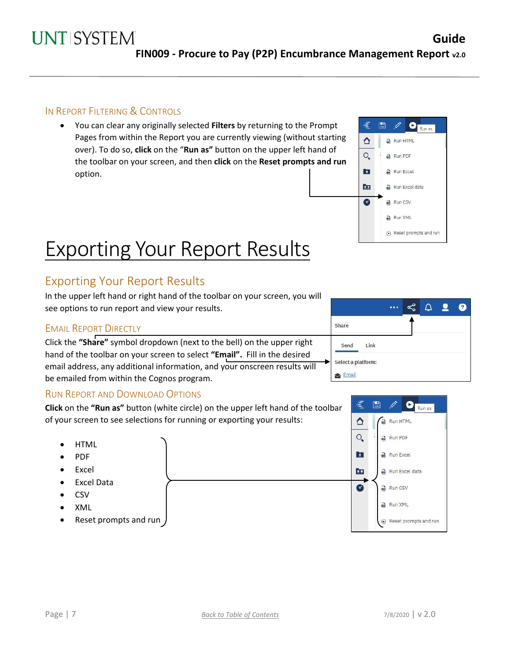#### IN REPORT FILTERING & CONTROLS

• You can clear any originally selected **Filters** by returning to the Prompt Pages from within the Report you are currently viewing (without starting over). To do so, **click** on the "**Run as"** button on the upper left hand of the toolbar on your screen, and then **click** on the **Reset prompts and run** option.

# Exporting Your Report Results

## Exporting Your Report Results

In the upper left hand or right hand of the toolbar on your screen, you will see options to run report and view your results.

#### EMAIL REPORT DIRECTLY

Click the **"Share"** symbol dropdown (next to the bell) on the upper right hand of the toolbar on your screen to select **"Email".** Fill in the desired email address, any additional information, and your onscreen results will be emailed from within the Cognos program.

#### RUN REPORT AND DOWNLOAD OPTIONS

**Click** on the **"Run as"** button (white circle) on the upper left hand of the toolbar of your screen to see selections for running or exporting your results:

- HTML
- PDF
- **Excel**
- Excel Data
- CSV
- XML
- Reset prompts and run

|                    |  |  | $\mathbf{R}$ |
|--------------------|--|--|--------------|
| Share              |  |  |              |
| Link<br>Send       |  |  |              |
| Select a platform: |  |  |              |
| Email              |  |  |              |

Ë 閆

↑

 $O_{\bullet}$ 

 $\mathbf{E}$ 

22

 $\overline{S}$ 

**O** Run as

**A** Run HTML

Run PDF

Run Excel

Run CSV Run XML

Run Excel data

(b) Reset prompts and run